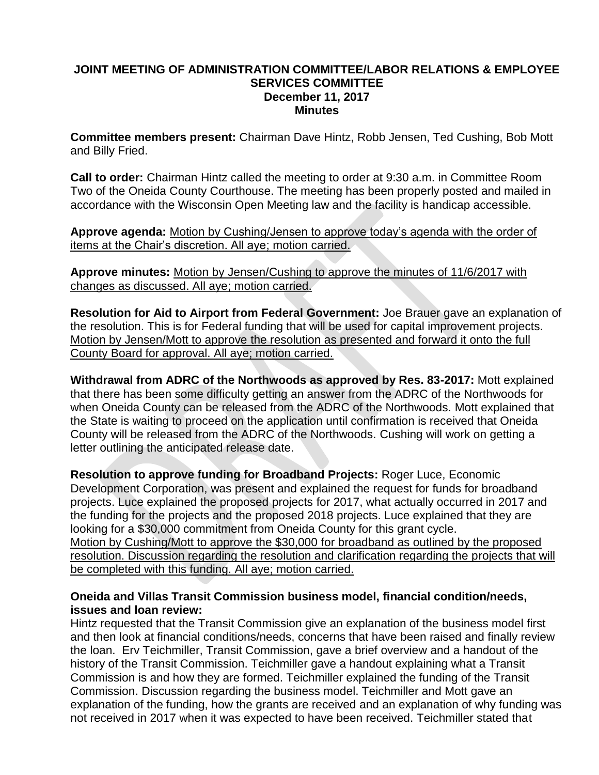### **JOINT MEETING OF ADMINISTRATION COMMITTEE/LABOR RELATIONS & EMPLOYEE SERVICES COMMITTEE December 11, 2017 Minutes**

**Committee members present:** Chairman Dave Hintz, Robb Jensen, Ted Cushing, Bob Mott and Billy Fried.

**Call to order:** Chairman Hintz called the meeting to order at 9:30 a.m. in Committee Room Two of the Oneida County Courthouse. The meeting has been properly posted and mailed in accordance with the Wisconsin Open Meeting law and the facility is handicap accessible.

**Approve agenda:** Motion by Cushing/Jensen to approve today's agenda with the order of items at the Chair's discretion. All aye; motion carried.

**Approve minutes:** Motion by Jensen/Cushing to approve the minutes of 11/6/2017 with changes as discussed. All aye; motion carried.

**Resolution for Aid to Airport from Federal Government:** Joe Brauer gave an explanation of the resolution. This is for Federal funding that will be used for capital improvement projects. Motion by Jensen/Mott to approve the resolution as presented and forward it onto the full County Board for approval. All aye; motion carried.

**Withdrawal from ADRC of the Northwoods as approved by Res. 83-2017:** Mott explained that there has been some difficulty getting an answer from the ADRC of the Northwoods for when Oneida County can be released from the ADRC of the Northwoods. Mott explained that the State is waiting to proceed on the application until confirmation is received that Oneida County will be released from the ADRC of the Northwoods. Cushing will work on getting a letter outlining the anticipated release date.

**Resolution to approve funding for Broadband Projects:** Roger Luce, Economic Development Corporation, was present and explained the request for funds for broadband projects. Luce explained the proposed projects for 2017, what actually occurred in 2017 and the funding for the projects and the proposed 2018 projects. Luce explained that they are looking for a \$30,000 commitment from Oneida County for this grant cycle. Motion by Cushing/Mott to approve the \$30,000 for broadband as outlined by the proposed resolution. Discussion regarding the resolution and clarification regarding the projects that will be completed with this funding. All aye; motion carried.

### **Oneida and Villas Transit Commission business model, financial condition/needs, issues and loan review:**

Hintz requested that the Transit Commission give an explanation of the business model first and then look at financial conditions/needs, concerns that have been raised and finally review the loan. Erv Teichmiller, Transit Commission, gave a brief overview and a handout of the history of the Transit Commission. Teichmiller gave a handout explaining what a Transit Commission is and how they are formed. Teichmiller explained the funding of the Transit Commission. Discussion regarding the business model. Teichmiller and Mott gave an explanation of the funding, how the grants are received and an explanation of why funding was not received in 2017 when it was expected to have been received. Teichmiller stated that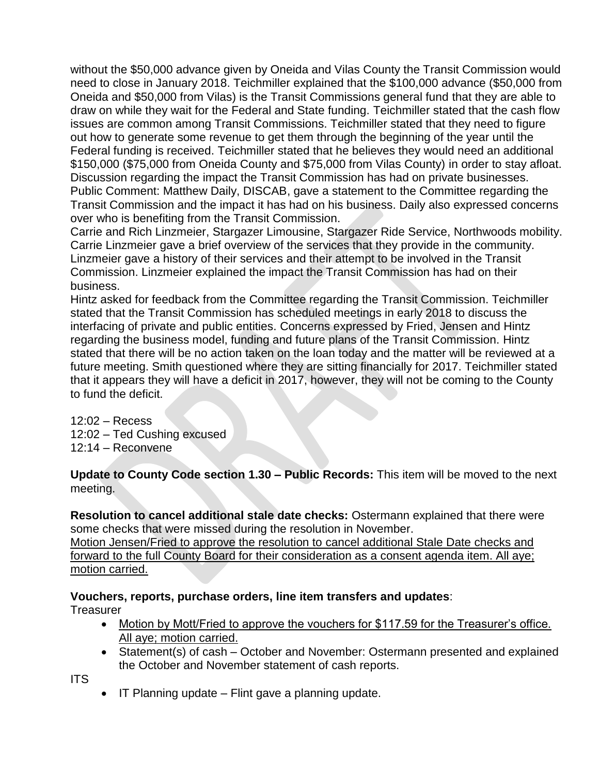without the \$50,000 advance given by Oneida and Vilas County the Transit Commission would need to close in January 2018. Teichmiller explained that the \$100,000 advance (\$50,000 from Oneida and \$50,000 from Vilas) is the Transit Commissions general fund that they are able to draw on while they wait for the Federal and State funding. Teichmiller stated that the cash flow issues are common among Transit Commissions. Teichmiller stated that they need to figure out how to generate some revenue to get them through the beginning of the year until the Federal funding is received. Teichmiller stated that he believes they would need an additional \$150,000 (\$75,000 from Oneida County and \$75,000 from Vilas County) in order to stay afloat. Discussion regarding the impact the Transit Commission has had on private businesses. Public Comment: Matthew Daily, DISCAB, gave a statement to the Committee regarding the Transit Commission and the impact it has had on his business. Daily also expressed concerns over who is benefiting from the Transit Commission.

Carrie and Rich Linzmeier, Stargazer Limousine, Stargazer Ride Service, Northwoods mobility. Carrie Linzmeier gave a brief overview of the services that they provide in the community. Linzmeier gave a history of their services and their attempt to be involved in the Transit Commission. Linzmeier explained the impact the Transit Commission has had on their business.

Hintz asked for feedback from the Committee regarding the Transit Commission. Teichmiller stated that the Transit Commission has scheduled meetings in early 2018 to discuss the interfacing of private and public entities. Concerns expressed by Fried, Jensen and Hintz regarding the business model, funding and future plans of the Transit Commission. Hintz stated that there will be no action taken on the loan today and the matter will be reviewed at a future meeting. Smith questioned where they are sitting financially for 2017. Teichmiller stated that it appears they will have a deficit in 2017, however, they will not be coming to the County to fund the deficit.

12:02 – Recess 12:02 – Ted Cushing excused 12:14 – Reconvene

**Update to County Code section 1.30 – Public Records:** This item will be moved to the next meeting.

**Resolution to cancel additional stale date checks:** Ostermann explained that there were some checks that were missed during the resolution in November. Motion Jensen/Fried to approve the resolution to cancel additional Stale Date checks and

forward to the full County Board for their consideration as a consent agenda item. All aye; motion carried.

### **Vouchers, reports, purchase orders, line item transfers and updates**:

**Treasurer** 

- Motion by Mott/Fried to approve the vouchers for \$117.59 for the Treasurer's office. All aye; motion carried.
- Statement(s) of cash October and November: Ostermann presented and explained the October and November statement of cash reports.

ITS

• IT Planning update – Flint gave a planning update.